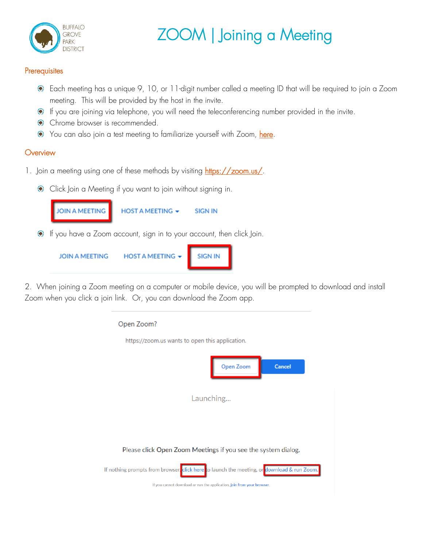

## ZOOM | Joining a Meeting

## **Prerequisites**

- Each meeting has a unique 9, 10, or 11-digit number called a meeting ID that will be required to join a Zoom meeting. This will be provided by the host in the invite.
- If you are joining via telephone, you will need the teleconferencing number provided in the invite.
- $\bullet$  Chrome browser is recommended.
- $\bullet$  You can also join a test meeting to familiarize yourself with Zoom, [here.](https://zoom.us/test)

## **Overview**

- 1. Join a meeting using one of these methods by visiting [https://zoom.us/.](https://zoom.us/)
	- **Click Join a Meeting if you want to join without signing in.**



2. When joining a Zoom meeting on a computer or mobile device, you will be prompted to download and install Zoom when you click a join link. Or, you can download the Zoom app.